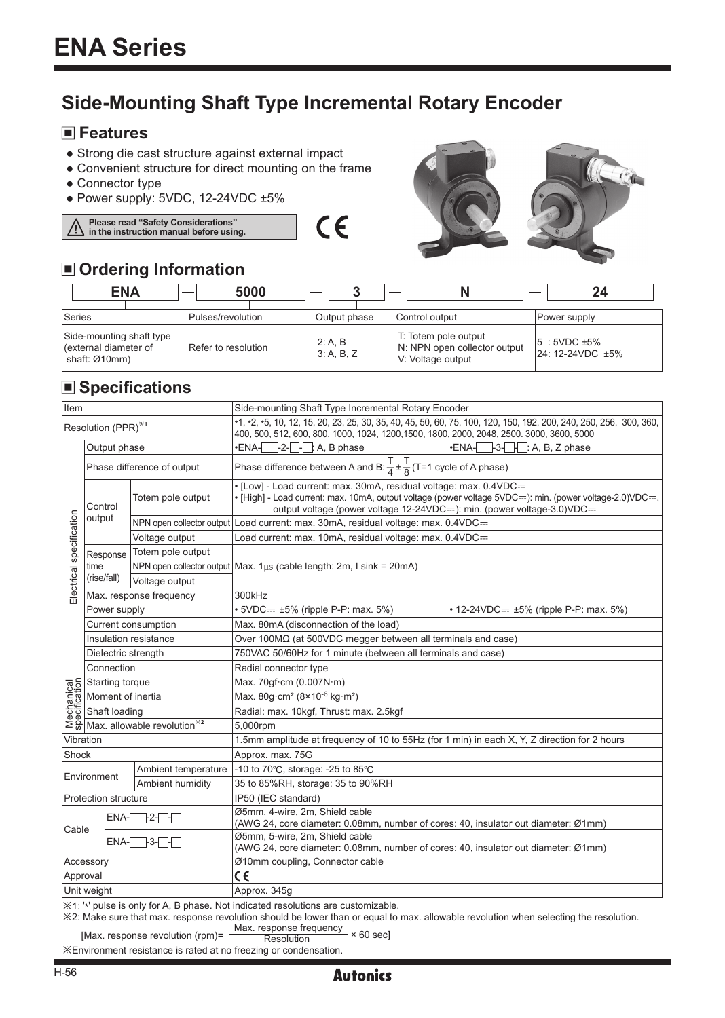# **Side-Mounting Shaft Type Incremental Rotary Encoder**

 $\epsilon$ 

### **Features**

- Strong die cast structure against external impact
- Convenient structure for direct mounting on the frame
- ●Connector type
- ●Power supply: 5VDC, 12-24VDC ±5%

## **Please read "Safety Considerations" in the instruction manual before using.**

# **Ordering Information**

| $\Box$ or admig into manon                                         |  |                   |                     |  |                       |  |                                                                           |  |                                       |  |
|--------------------------------------------------------------------|--|-------------------|---------------------|--|-----------------------|--|---------------------------------------------------------------------------|--|---------------------------------------|--|
| <b>ENA</b>                                                         |  | 5000              |                     |  |                       |  |                                                                           |  | 24                                    |  |
|                                                                    |  |                   |                     |  |                       |  |                                                                           |  |                                       |  |
| Series                                                             |  | Pulses/revolution |                     |  | Output phase          |  | Control output                                                            |  | Power supply                          |  |
| Side-mounting shaft type<br>(external diameter of<br>shaft: Ø10mm) |  |                   | Refer to resolution |  | 2: A, B<br>3: A, B, Z |  | T: Totem pole output<br>N: NPN open collector output<br>V: Voltage output |  | $15:5VDC \pm 5\%$<br>24: 12-24VDC ±5% |  |

Tea

## **Specifications**

| Item                            |                         |                                                                                                                                                                                                                                                                                                                                                                                   | Side-mounting Shaft Type Incremental Rotary Encoder                                                                                                                                                                                                             |  |  |  |  |  |  |
|---------------------------------|-------------------------|-----------------------------------------------------------------------------------------------------------------------------------------------------------------------------------------------------------------------------------------------------------------------------------------------------------------------------------------------------------------------------------|-----------------------------------------------------------------------------------------------------------------------------------------------------------------------------------------------------------------------------------------------------------------|--|--|--|--|--|--|
| Resolution (PPR) <sup>**1</sup> |                         |                                                                                                                                                                                                                                                                                                                                                                                   | *1, *2, *5, 10, 12, 15, 20, 23, 25, 30, 35, 40, 45, 50, 60, 75, 100, 120, 150, 192, 200, 240, 250, 256, 300, 360,<br>400, 500, 512, 600, 800, 1000, 1024, 1200, 1500, 1800, 2000, 2048, 2500. 3000, 3600, 5000                                                  |  |  |  |  |  |  |
| Electrical specification        | Output phase            |                                                                                                                                                                                                                                                                                                                                                                                   | $\left[\text{-}2\text{-}\right]\left[\text{-}1\right]$ : A, B phase<br>$-3$ - $-1$ : A, B, Z phase<br>$-ENA-$<br>$\cdot$ ENA- $\overline{\phantom{a}}$                                                                                                          |  |  |  |  |  |  |
|                                 |                         | Phase difference of output                                                                                                                                                                                                                                                                                                                                                        | Phase difference between A and B: $\frac{T}{4} \pm \frac{T}{8}$ (T=1 cycle of A phase)                                                                                                                                                                          |  |  |  |  |  |  |
|                                 | Control<br>output       | Totem pole output                                                                                                                                                                                                                                                                                                                                                                 | • [Low] - Load current: max. 30mA, residual voltage: max. 0.4VDC=<br>• [High] - Load current: max. 10mA, output voltage (power voltage $5VDC =$ ): min. (power voltage-2.0) $VDC =$ ,<br>output voltage (power voltage 12-24VDC=): min. (power voltage-3.0)VDC= |  |  |  |  |  |  |
|                                 |                         |                                                                                                                                                                                                                                                                                                                                                                                   | NPN open collector output Load current: max. 30mA, residual voltage: max. 0.4VDC==                                                                                                                                                                              |  |  |  |  |  |  |
|                                 |                         | Voltage output                                                                                                                                                                                                                                                                                                                                                                    | Load current: max. 10mA, residual voltage: max. 0.4VDC=                                                                                                                                                                                                         |  |  |  |  |  |  |
|                                 | Response                | Totem pole output                                                                                                                                                                                                                                                                                                                                                                 |                                                                                                                                                                                                                                                                 |  |  |  |  |  |  |
|                                 | time<br>(rise/fall)     |                                                                                                                                                                                                                                                                                                                                                                                   | NPN open collector output   Max. 1µs (cable length: 2m, I sink = 20mA)                                                                                                                                                                                          |  |  |  |  |  |  |
|                                 |                         | Voltage output                                                                                                                                                                                                                                                                                                                                                                    |                                                                                                                                                                                                                                                                 |  |  |  |  |  |  |
|                                 | Max. response frequency |                                                                                                                                                                                                                                                                                                                                                                                   | 300kHz                                                                                                                                                                                                                                                          |  |  |  |  |  |  |
|                                 | Power supply            |                                                                                                                                                                                                                                                                                                                                                                                   | $\cdot$ 5VDC= $\pm$ 5% (ripple P-P: max. 5%)<br>• 12-24VDC= ±5% (ripple P-P: max. 5%)                                                                                                                                                                           |  |  |  |  |  |  |
|                                 |                         | Current consumption                                                                                                                                                                                                                                                                                                                                                               | Max. 80mA (disconnection of the load)                                                                                                                                                                                                                           |  |  |  |  |  |  |
|                                 | Insulation resistance   |                                                                                                                                                                                                                                                                                                                                                                                   | Over 100MΩ (at 500VDC megger between all terminals and case)                                                                                                                                                                                                    |  |  |  |  |  |  |
|                                 | Dielectric strength     |                                                                                                                                                                                                                                                                                                                                                                                   | 750VAC 50/60Hz for 1 minute (between all terminals and case)                                                                                                                                                                                                    |  |  |  |  |  |  |
|                                 | Connection              |                                                                                                                                                                                                                                                                                                                                                                                   | Radial connector type                                                                                                                                                                                                                                           |  |  |  |  |  |  |
|                                 |                         |                                                                                                                                                                                                                                                                                                                                                                                   | Max. 70qf·cm (0.007N·m)                                                                                                                                                                                                                                         |  |  |  |  |  |  |
|                                 |                         | $\frac{\overline{6}}{\overline{6}}\frac{\overline{6}}{\overline{8}}$ Starting torque<br>$\frac{\overline{6}}{\overline{6}}\frac{\overline{6}}{\overline{6}}$ Shaft loading<br>$\frac{\overline{6}}{\overline{6}}\frac{\overline{6}}{\overline{6}}$ Shaft loading<br>$\frac{\overline{6}}{\overline{6}}\frac{\overline{6}}{\overline{6}}$ Max. allowable revolution <sup>362</sup> | Max. $80q \cdot cm^2 (8 \times 10^{-6} \text{ kg} \cdot m^2)$                                                                                                                                                                                                   |  |  |  |  |  |  |
|                                 |                         |                                                                                                                                                                                                                                                                                                                                                                                   | Radial: max. 10kgf, Thrust: max. 2.5kgf                                                                                                                                                                                                                         |  |  |  |  |  |  |
|                                 |                         |                                                                                                                                                                                                                                                                                                                                                                                   | 5,000rpm                                                                                                                                                                                                                                                        |  |  |  |  |  |  |
| Vibration                       |                         |                                                                                                                                                                                                                                                                                                                                                                                   | 1.5mm amplitude at frequency of 10 to 55Hz (for 1 min) in each X, Y, Z direction for 2 hours                                                                                                                                                                    |  |  |  |  |  |  |
| Shock                           |                         |                                                                                                                                                                                                                                                                                                                                                                                   | Approx. max. 75G                                                                                                                                                                                                                                                |  |  |  |  |  |  |
| Environment                     |                         | Ambient temperature                                                                                                                                                                                                                                                                                                                                                               | -10 to 70°C, storage: -25 to 85°C                                                                                                                                                                                                                               |  |  |  |  |  |  |
|                                 |                         | Ambient humidity                                                                                                                                                                                                                                                                                                                                                                  | 35 to 85%RH, storage: 35 to 90%RH                                                                                                                                                                                                                               |  |  |  |  |  |  |
| <b>Protection structure</b>     |                         |                                                                                                                                                                                                                                                                                                                                                                                   | IP50 (IEC standard)                                                                                                                                                                                                                                             |  |  |  |  |  |  |
| Cable                           | 12.T.T<br>ENA-          |                                                                                                                                                                                                                                                                                                                                                                                   | Ø5mm, 4-wire, 2m, Shield cable<br>(AWG 24, core diameter: 0.08mm, number of cores: 40, insulator out diameter: Ø1mm)                                                                                                                                            |  |  |  |  |  |  |
|                                 |                         | $ENA - 3 - 1$                                                                                                                                                                                                                                                                                                                                                                     | Ø5mm, 5-wire, 2m, Shield cable<br>(AWG 24, core diameter: 0.08mm, number of cores: 40, insulator out diameter: Ø1mm)                                                                                                                                            |  |  |  |  |  |  |
| Accessory                       |                         |                                                                                                                                                                                                                                                                                                                                                                                   | Ø10mm coupling, Connector cable                                                                                                                                                                                                                                 |  |  |  |  |  |  |
| Approval                        |                         |                                                                                                                                                                                                                                                                                                                                                                                   | CE                                                                                                                                                                                                                                                              |  |  |  |  |  |  |
| Unit weight                     |                         |                                                                                                                                                                                                                                                                                                                                                                                   | Approx. 345q                                                                                                                                                                                                                                                    |  |  |  |  |  |  |

※1: ' \*' pulse is only for A, B phase. Not indicated resolutions are customizable.

※2: Make sure that max. response revolution should be lower than or equal to max. allowable revolution when selecting the resolution.

[Max. response revolution (rpm)=  $\frac{\text{Max.} \text{ response frequency}}{\text{Resolution}} \times 60 \text{ sec}$ ]

※Environment resistance is rated at no freezing or condensation.

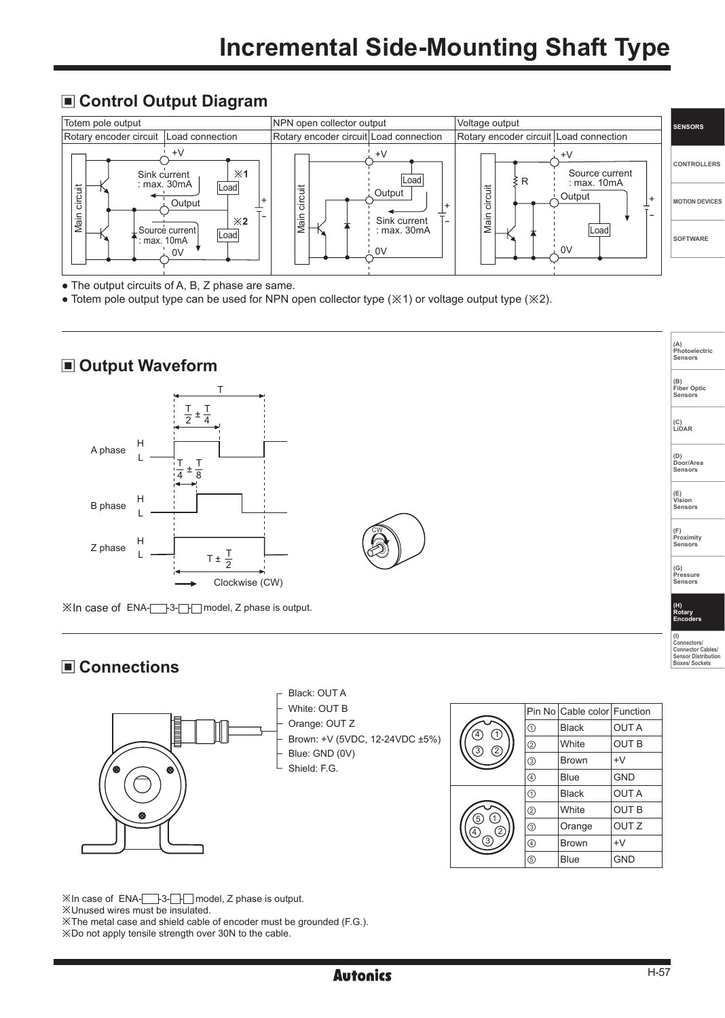#### **Control Output Diagram**



• The output circuits of A, B, Z phase are same.

● Totem pole output type can be used for NPN open collector type (※1) or voltage output type (※2).

### ■ Output Waveform



※In case of ENA-<br>
<br>  $\Box$  model, Z phase is output.

#### **Connections**



|                                    |                | Pin No Cable color Function |                  |  |
|------------------------------------|----------------|-----------------------------|------------------|--|
| C<br>$\circled{4}$                 | ➀              | <b>Black</b>                | <b>OUTA</b>      |  |
| $\overline{2}$<br>$\left(3\right)$ | $^{\circledR}$ | White                       | <b>OUT B</b>     |  |
|                                    | ③              | <b>Brown</b>                | $+V$             |  |
|                                    | 4              | Blue                        | <b>GND</b>       |  |
|                                    | $^\circledR$   | <b>Black</b>                | <b>OUTA</b>      |  |
|                                    | $^{\circledR}$ | White                       | <b>OUT B</b>     |  |
| (1)<br>(5)<br>$^{(2)}$<br>(4       | ③              | Orange                      | OUT <sub>Z</sub> |  |
| 3                                  | ⊕              | <b>Brown</b>                | $+V$             |  |
|                                    | $\circledS$    | <b>Blue</b>                 | <b>GND</b>       |  |

※In case of ENA- -3- - model, Z phase is output. ※Unused wires must be insulated. ※The metal case and shield cable of encoder must be grounded (F.G.). ※Do not apply tensile strength over 30N to the cable.

**(A) Photoelectric Sensors**

**(B) Fiber Optic Sensors**

**(C) LiDAR** 

**(D) Door/Area Sensors**

**(E) Vision Sensors**

**(F) Proximity Sensors** 

**(G) Pressure Sensors** 

**(H) Rotary Encoders (I) Connectors/ Connector Cables/ Sensor Distribution Boxes/ Sockets**